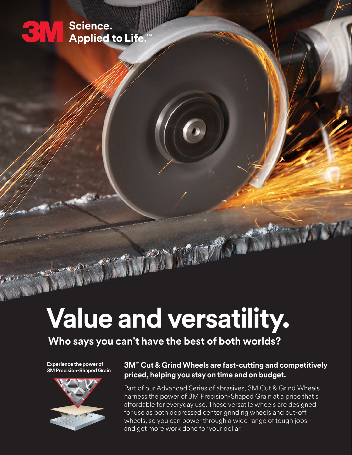### Science. **3 M Applied to Life**

# **Value and versatility.**

### **Who says you can't have the best of both worlds?**

**Experience the power of 3M Precision-Shaped Grain**



### **3M**™ **Cut & Grind Wheels are fast-cutting and competitively priced, helping you stay on time and on budget.**

Part of our Advanced Series of abrasives, 3M Cut & Grind Wheels harness the power of 3M Precision-Shaped Grain at a price that's affordable for everyday use. These versatile wheels are designed for use as both depressed center grinding wheels and cut-off wheels, so you can power through a wide range of tough jobs – and get more work done for your dollar.